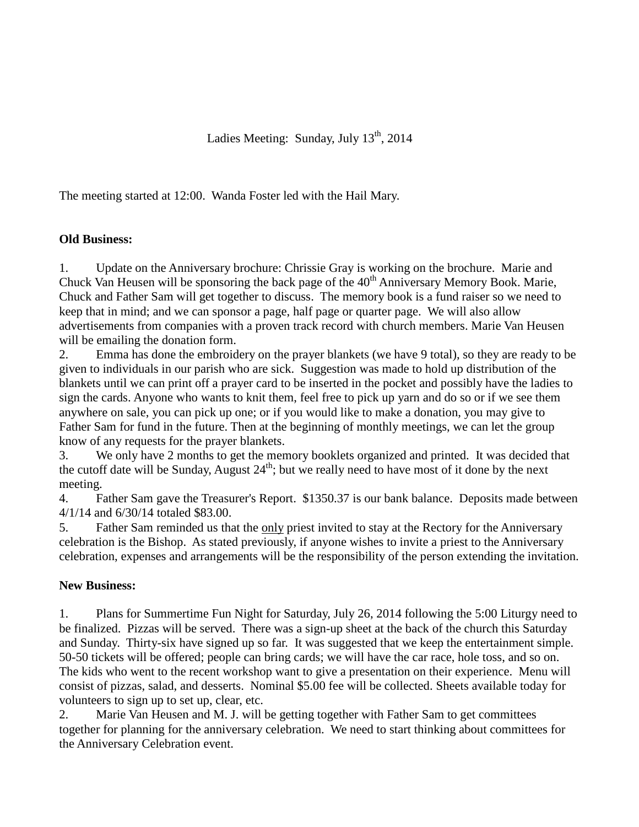The meeting started at 12:00. Wanda Foster led with the Hail Mary.

## **Old Business:**

1. Update on the Anniversary brochure: Chrissie Gray is working on the brochure. Marie and Chuck Van Heusen will be sponsoring the back page of the  $40<sup>th</sup>$  Anniversary Memory Book. Marie, Chuck and Father Sam will get together to discuss. The memory book is a fund raiser so we need to keep that in mind; and we can sponsor a page, half page or quarter page. We will also allow advertisements from companies with a proven track record with church members. Marie Van Heusen will be emailing the donation form.

2. Emma has done the embroidery on the prayer blankets (we have 9 total), so they are ready to be given to individuals in our parish who are sick. Suggestion was made to hold up distribution of the blankets until we can print off a prayer card to be inserted in the pocket and possibly have the ladies to sign the cards. Anyone who wants to knit them, feel free to pick up yarn and do so or if we see them anywhere on sale, you can pick up one; or if you would like to make a donation, you may give to Father Sam for fund in the future. Then at the beginning of monthly meetings, we can let the group know of any requests for the prayer blankets.

3. We only have 2 months to get the memory booklets organized and printed. It was decided that the cutoff date will be Sunday, August  $24<sup>th</sup>$ ; but we really need to have most of it done by the next meeting.

4. Father Sam gave the Treasurer's Report. \$1350.37 is our bank balance. Deposits made between 4/1/14 and 6/30/14 totaled \$83.00.

5. Father Sam reminded us that the only priest invited to stay at the Rectory for the Anniversary celebration is the Bishop. As stated previously, if anyone wishes to invite a priest to the Anniversary celebration, expenses and arrangements will be the responsibility of the person extending the invitation.

## **New Business:**

1. Plans for Summertime Fun Night for Saturday, July 26, 2014 following the 5:00 Liturgy need to be finalized. Pizzas will be served. There was a sign-up sheet at the back of the church this Saturday and Sunday. Thirty-six have signed up so far. It was suggested that we keep the entertainment simple. 50-50 tickets will be offered; people can bring cards; we will have the car race, hole toss, and so on. The kids who went to the recent workshop want to give a presentation on their experience. Menu will consist of pizzas, salad, and desserts. Nominal \$5.00 fee will be collected. Sheets available today for volunteers to sign up to set up, clear, etc.

2. Marie Van Heusen and M. J. will be getting together with Father Sam to get committees together for planning for the anniversary celebration. We need to start thinking about committees for the Anniversary Celebration event.